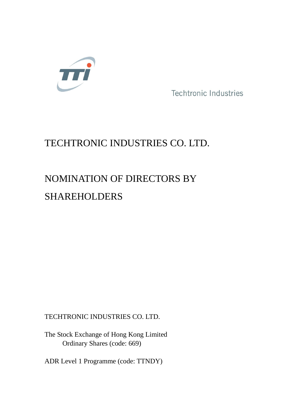

Techtronic Industries

## TECHTRONIC INDUSTRIES CO. LTD.

# NOMINATION OF DIRECTORS BY SHAREHOLDERS

TECHTRONIC INDUSTRIES CO. LTD.

The Stock Exchange of Hong Kong Limited Ordinary Shares (code: 669)

ADR Level 1 Programme (code: TTNDY)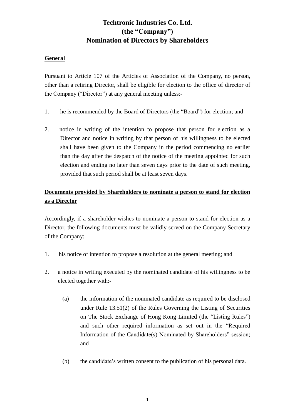### **Techtronic Industries Co. Ltd. (the "Company") Nomination of Directors by Shareholders**

#### **General**

Pursuant to Article 107 of the Articles of Association of the Company, no person, other than a retiring Director, shall be eligible for election to the office of director of the Company ("Director") at any general meeting unless:-

- 1. he is recommended by the Board of Directors (the "Board") for election; and
- 2. notice in writing of the intention to propose that person for election as a Director and notice in writing by that person of his willingness to be elected shall have been given to the Company in the period commencing no earlier than the day after the despatch of the notice of the meeting appointed for such election and ending no later than seven days prior to the date of such meeting, provided that such period shall be at least seven days.

#### **Documents provided by Shareholders to nominate a person to stand for election as a Director**

Accordingly, if a shareholder wishes to nominate a person to stand for election as a Director, the following documents must be validly served on the Company Secretary of the Company:

- 1. his notice of intention to propose a resolution at the general meeting; and
- 2. a notice in writing executed by the nominated candidate of his willingness to be elected together with:-
	- (a) the information of the nominated candidate as required to be disclosed under Rule 13.51(2) of the Rules Governing the Listing of Securities on The Stock Exchange of Hong Kong Limited (the "Listing Rules") and such other required information as set out in the "Required Information of the Candidate(s) Nominated by Shareholders" session; and
	- (b) the candidate's written consent to the publication of his personal data.